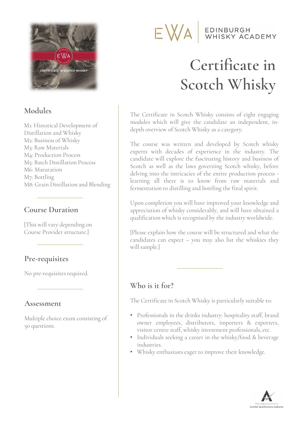

# Modules

M1: Historical Development of Distillation and Whisky M2: Business of Whisky M3: Raw Materials M4: Production Process M5: Batch Distillation Process M6: Maturation M7: Bottling M6: Maturation<br>
M7: Bottling<br>
M8: Grain Distillation and Blending<br> **Course Duration<br>
This will vary depending on**<br>
Course Provider structure.]

### Course Duration

Course Provider structure.]

# Pre-requisites

No pre-requisites required.

Multiple choice exam consisting of 50 questions.

# EDINBURGH<br>WHISKY ACADEMY EWA

# Certificate in Scotch Whisky **Certificate in Scotch Whisky**<br>The Certificate in Scotch Whisky consists of eight engaging<br>modules which will give the candidate an independent, indepth overview of Scotch Whisky as a category.

**Certificate in<br>Scotch Whisky**<br>The Certificate in Scotch Whisky consists of eight engaging<br>modules which will give the candidate an independent, in-<br>depth overview of Scotch Whisky as a category. **Scotch Whisky**<br>The Certificate in Scotch Whisky consists of eight engaging<br>modules which will give the candidate an independent, in-<br>depth overview of Scotch Whisky as a category.<br>The course was written and developed by S

M8: Grain Distillation and Blending learning all there is to know from raw materials and<br>M8: Grain Distillation and Blending learnentation to distilling and bottling the final spirit. **SCOLCA W NISKY**<br>The Certificate in Scotch Whisky consists of eight engaging<br>modules which will give the candidate an independent, in-<br>depth overview of Scotch Whisky as a category.<br>The course was written and developed by The Certificate in Scotch Whisky consists of eight engaging<br>modules which will give the candidate an independent, in-<br>depth overview of Scotch Whisky as a category.<br>The course was written and developed by Scotch whisky<br>exp The Certificate in Scotch Whisky consists of eight engaging<br>modules which will give the candidate an independent, in-<br>depth overview of Scotch Whisky as a category.<br>The course was written and developed by Scotch whisky<br>exp The Certificate in Scotch Whisky consists of eight engaging<br>modules which will give the candidate an independent, in-<br>depth overview of Scotch Whisky as a category.<br>The course was written and developed by Scotch whisky<br>exp The Certificate in Scotch Whisky consists of eight engaging<br>modules which will give the candidate an independent, in-<br>depth overview of Scotch Whisky as a category.<br>The course was written and developed by Scotch whisky<br>exp modules which will give the candidate an independent, in-<br>depth overview of Scotch Whisky as a category.<br>The course was written and developed by Scotch whisky<br>experts with decades of experience in the industry. The<br>candida depth overview of Scotch Whisky as a category.<br>The course was written and developed by Scotch whisky<br>experts with decades of experience in the industry. The<br>candidate will explore the fascinating history and business of<br>Sc The course was written and developed by Scotch whisky<br>experts with decades of experience in the industry. The<br>candidate will explore the fascinating history and business of<br>Scotch as well as the laws governing Scotch whisk experts with decades of experience in the industry. The<br>candidate will explore the fascinating history and business of<br>Scotch as well as the laws governing Scotch whisky, before<br>delving into the intricacies of the entire p candidate will explore the fascinating history and business of<br>Scotch as well as the laws governing Scotch whisky, before<br>delving into the intricacies of the entire production process -<br>learning all there is to know from r

delving into the intricacies of the entire production process -<br>learning all there is to know from raw materials and<br>fermentation to distilling and bottling the final spirit.<br>Upon completion you will have improved your kno learning all there is to know from raw materials and<br>fermentation to distilling and bottling the final spirit.<br>Upon completion you will have improved your knowledge and<br>appreciation of whisky considerably, and will have ob termentation to distilling and bottling<br>Upon completion you will have improv<br>appreciation of whisky considerably, a<br>qualification which is recognised by the<br>[Please explain how the course will be :<br>candidates can expect –

# Who is it for?

- Pre-requisites<br>
No pre-requisites required.<br>
No is it for?<br>
The Certificate in Scotch Whisky is particularly suitable to:<br>
Multiple choice exam consisting of<br>
Professionals in the drinks industry: hospitality staff, brand<br> **ho is it for?**<br>
e Certificate in Scotch Whisky is particularly suitable to:<br>
Professionals in the drinks industry: hospitality staff, brand<br>
owner employees, distributors, importers & exporters,<br>
visitor centre staff, whi Who is it for?<br>
The Certificate in Scotch Whisky is particularly suitable to:<br>
• Professionals in the drinks industry: hospitality staff, brand<br>
owner employees, distributors, importers & exporters,<br>
visitor centre staff, • Professionals in the drinks industry: hospitality staff, brand<br>• Professionals in the drinks industry: hospitality staff, brand<br>• exporters, distributors, importers & exporters,<br>visitor centre staff, whisky investment pr
	- industries.
	-

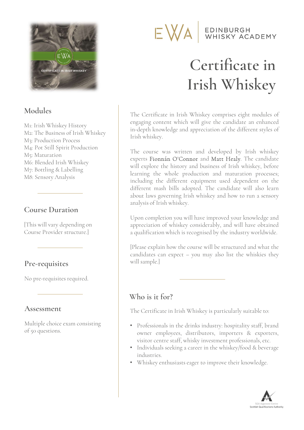

# Modules

M1: Irish Whiskey History M2: The Business of Irish Whiskey M3: Production Process M4: Pot Still Spirit Production M5: Maturation M6: Blended Irish Whiskey M7: Bottling & Labelling M8: Sensory Analysis

# Course Duration

[This will vary depending on Course Provider structure.]

# Pre-requisites

No pre-requisites required.

Multiple choice exam consisting No pre-requisites required.<br> **Assessment**<br>
Multiple choice exam consisting<br>
of 50 questions.

# EDINBURGH<br>WHISKY ACADEMY EWA

# Certificate in Irish Whiskey

**Certificate in Irish Whiskey<br>The Certificate in Irish Whiskey comprises eight modules of<br>engaging content which will give the candidate an enhanced<br>in-depth knowledge and appreciation of the different styles of Certificate in Irish Whiskey**<br>The Certificate in Irish Whiskey comprises eight modules of<br>engaging content which will give the candidate an enhanced<br>in-depth knowledge and appreciation of the different styles of<br>Irish whi Irish Whiskey<br>The Certificate in Irish Whiskey comprises eight modules of<br>engaging content which will give the candidate an enhanced<br>in-depth knowledge and appreciation of the different styles of<br>Irish whiskey. **Irish Vince Start Start International International Start Start Start Start Start Start Start Start Start Start Start Start Start Start Start Start Start Start Start Start Start Start Start Start Start Start Start Start S** The Certificate in Irish Whiskey comprises eight modules of<br>engaging content which will give the candidate an enhanced<br>in-depth knowledge and appreciation of the different styles of<br>Irish whiskey.<br>The course was written an

The Certificate in Irish Whiskey comprises eight modules of<br>engaging content which will give the candidate an enhanced<br>in-depth knowledge and appreciation of the different styles of<br>Irish whiskey.<br>The course was written an The Certificate in Irish Whiskey comprises eight modules of<br>engaging content which will give the candidate an enhanced<br>in-depth knowledge and appreciation of the different styles of<br>Irish whiskey.<br>The course was written an The Certificate in Irish Whiskey comprises eight modules of<br>engaging content which will give the candidate an enhanced<br>in-depth knowledge and appreciation of the different styles of<br>Irish whiskey.<br>The course was written an engaging content which will give the candidate an enhanced<br>in-depth knowledge and appreciation of the different styles of<br>Irish whiskey.<br>The course was written and developed by Irish whiskey<br>experts **Fionnán O'Connor** and in-depth knowledge and appreciation of the different styles of<br>Irish whiskey.<br>The course was written and developed by Irish whiskey<br>experts **Fionnán O'Connor** and **Matt Healy**. The candidate<br>will explore the history and bu Irish whiskey.<br>
The course was written and developed by Irish whiskey<br>
experts **Fionnán O'Connor** and **Matt Healy**. The candidate<br>
will explore the history and business of Irish whiskey, before<br>
learning the whole producti The course was written and developed by Ir<br>experts **Fionnán O'Connor** and **Matt Healy**. Th<br>will explore the history and business of Irish whi<br>learning the whole production and maturation<br>including the different equipment u experts **Fionnán O'Connor** and **Matt Healy**. The candidate will explore the history and business of Irish whiskey, before learning the whole production and maturation processes; including the different equipment used depen will explore the history and business of Irish whiskey, before<br>learning the whole production and maturation processes;<br>including the different equipment used dependent on the<br>different mash bills adopted. The candidate wil learning the whole production and maturation processes;<br>including the different equipment used dependent on the<br>different mash bills adopted. The candidate will also learn<br>about laws governing Irish whiskey and how to run

different mash bills adopted. The candidate will also learn<br>about laws governing Irish whiskey and how to run a sensory<br>analysis of Irish whiskey.<br>Upon completion you will have improved your knowledge and<br>appreciation of w about laws governing Irish whiskey and how to run a sensory<br>analysis of Irish whiskey.<br>Upon completion you will have improved your knowledge and<br>appreciation of whiskey considerably, and will have obtained<br>a qualification analysis of Irish whiskey.<br>Upon completion you will have improv<br>appreciation of whiskey considerably,<br>a qualification which is recognised by t<br>[Please explain how the course will be :<br>candidates can expect – you may also<br>w

# Who is it for?

- **Pre-requisites**<br>
No pre-requisites required.<br>
No pre-requisites required.<br> **Assessment**<br>
The Certificate in Irish Whiskey is particularly suitable to:<br>
Multiple choice exam consisting<br>
of 50 questions.<br>
Multiple choice ex **ho is it for?**<br>
e Certificate in Irish Whiskey is particularly suitable to:<br>
Professionals in the drinks industry: hospitality staff, brand<br>
owner employees, distributors, importers & exporters,<br>
visitor centre staff, whi Who is it for?<br>
The Certificate in Irish Whiskey is particularly suitable to:<br>
• Professionals in the drinks industry: hospitality staff, brand<br>
owner employees, distributors, importers & exporters,<br>
visitor centre staff, • Professionals in the drinks industry: hospitality staff, brand<br>• Professionals in the drinks industry: hospitality staff, brand<br>• exporters, distributors, importers & exporters,<br>visitor centre staff, whisky investment pr
	- industries.
	-